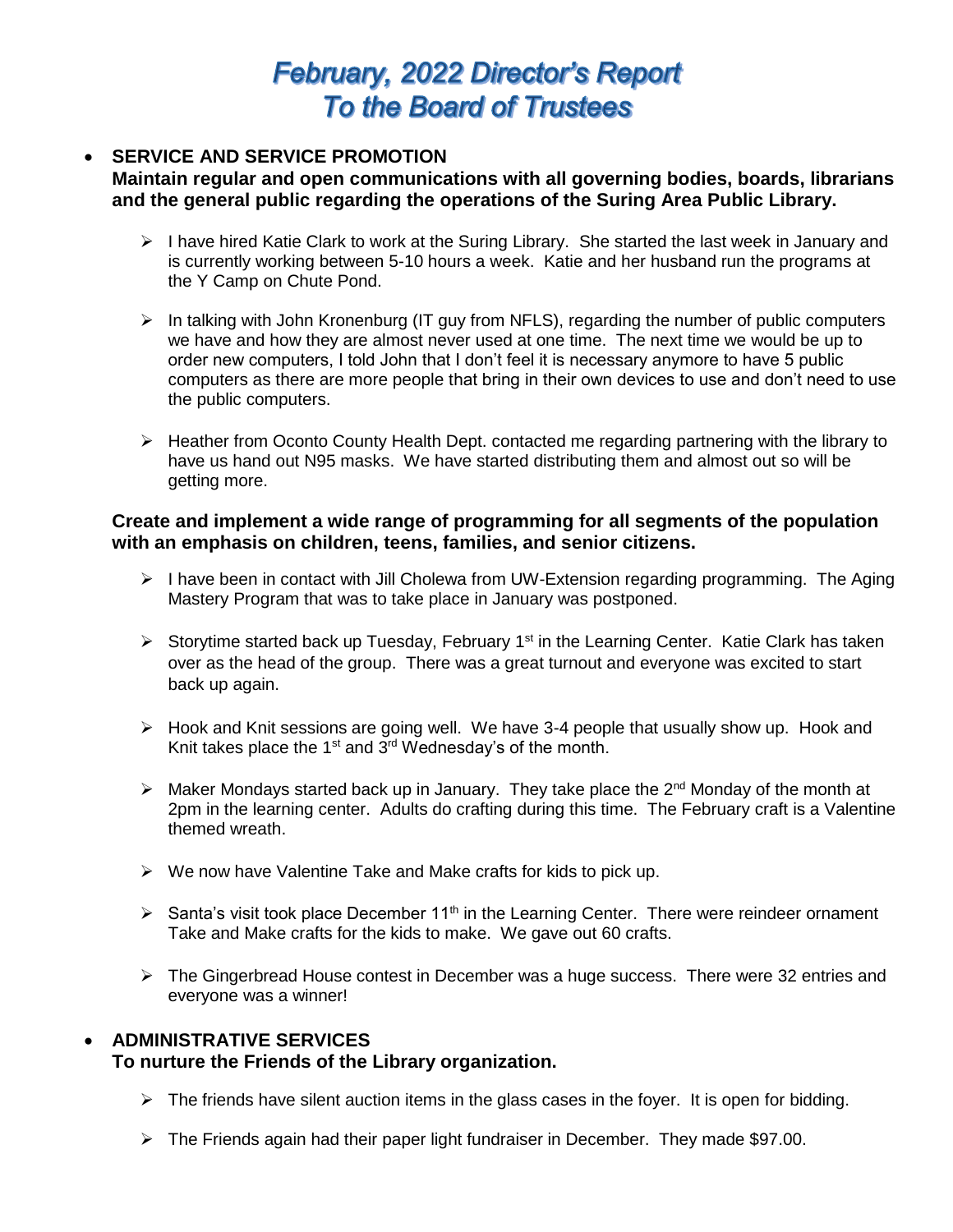# **February, 2022 Director's Report To the Board of Trustees**

#### **SERVICE AND SERVICE PROMOTION Maintain regular and open communications with all governing bodies, boards, librarians and the general public regarding the operations of the Suring Area Public Library.**

- $\triangleright$  I have hired Katie Clark to work at the Suring Library. She started the last week in January and is currently working between 5-10 hours a week. Katie and her husband run the programs at the Y Camp on Chute Pond.
- $\triangleright$  In talking with John Kronenburg (IT guy from NFLS), regarding the number of public computers we have and how they are almost never used at one time. The next time we would be up to order new computers, I told John that I don't feel it is necessary anymore to have 5 public computers as there are more people that bring in their own devices to use and don't need to use the public computers.
- $\triangleright$  Heather from Oconto County Health Dept. contacted me regarding partnering with the library to have us hand out N95 masks. We have started distributing them and almost out so will be getting more.

### **Create and implement a wide range of programming for all segments of the population with an emphasis on children, teens, families, and senior citizens.**

- I have been in contact with Jill Cholewa from UW-Extension regarding programming. The Aging Mastery Program that was to take place in January was postponed.
- Storytime started back up Tuesday, February 1<sup>st</sup> in the Learning Center. Katie Clark has taken over as the head of the group. There was a great turnout and everyone was excited to start back up again.
- Hook and Knit sessions are going well. We have 3-4 people that usually show up. Hook and Knit takes place the  $1<sup>st</sup>$  and  $3<sup>rd</sup>$  Wednesday's of the month.
- $\triangleright$  Maker Mondays started back up in January. They take place the 2<sup>nd</sup> Monday of the month at 2pm in the learning center. Adults do crafting during this time. The February craft is a Valentine themed wreath.
- $\triangleright$  We now have Valentine Take and Make crafts for kids to pick up.
- $\triangleright$  Santa's visit took place December 11<sup>th</sup> in the Learning Center. There were reindeer ornament Take and Make crafts for the kids to make. We gave out 60 crafts.
- $\triangleright$  The Gingerbread House contest in December was a huge success. There were 32 entries and everyone was a winner!

# **ADMINISTRATIVE SERVICES To nurture the Friends of the Library organization.**

- $\triangleright$  The friends have silent auction items in the glass cases in the foyer. It is open for bidding.
- $\triangleright$  The Friends again had their paper light fundraiser in December. They made \$97.00.